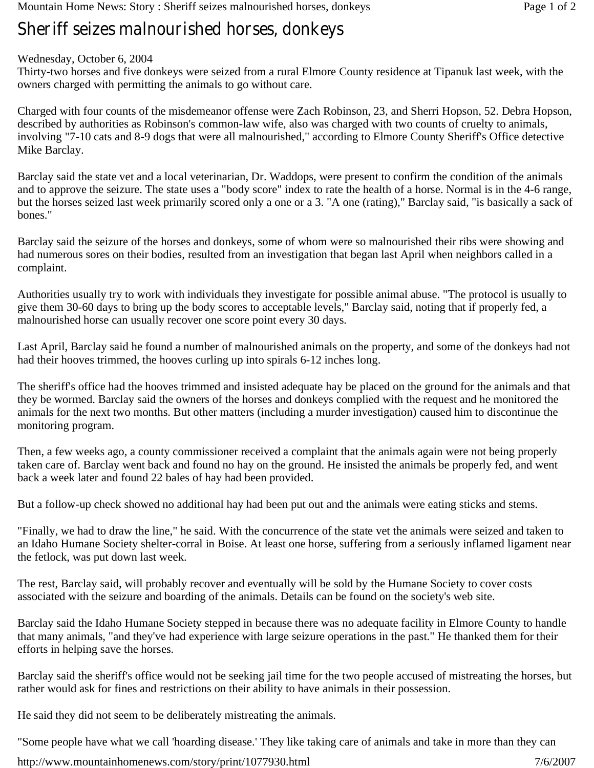## **Sheriff seizes malnourished horses, donkeys**

## Wednesday, October 6, 2004

Thirty-two horses and five donkeys were seized from a rural Elmore County residence at Tipanuk last week, with the owners charged with permitting the animals to go without care.

Charged with four counts of the misdemeanor offense were Zach Robinson, 23, and Sherri Hopson, 52. Debra Hopson, described by authorities as Robinson's common-law wife, also was charged with two counts of cruelty to animals, involving "7-10 cats and 8-9 dogs that were all malnourished," according to Elmore County Sheriff's Office detective Mike Barclay.

Barclay said the state vet and a local veterinarian, Dr. Waddops, were present to confirm the condition of the animals and to approve the seizure. The state uses a "body score" index to rate the health of a horse. Normal is in the 4-6 range, but the horses seized last week primarily scored only a one or a 3. "A one (rating)," Barclay said, "is basically a sack of bones."

Barclay said the seizure of the horses and donkeys, some of whom were so malnourished their ribs were showing and had numerous sores on their bodies, resulted from an investigation that began last April when neighbors called in a complaint.

Authorities usually try to work with individuals they investigate for possible animal abuse. "The protocol is usually to give them 30-60 days to bring up the body scores to acceptable levels," Barclay said, noting that if properly fed, a malnourished horse can usually recover one score point every 30 days.

Last April, Barclay said he found a number of malnourished animals on the property, and some of the donkeys had not had their hooves trimmed, the hooves curling up into spirals 6-12 inches long.

The sheriff's office had the hooves trimmed and insisted adequate hay be placed on the ground for the animals and that they be wormed. Barclay said the owners of the horses and donkeys complied with the request and he monitored the animals for the next two months. But other matters (including a murder investigation) caused him to discontinue the monitoring program.

Then, a few weeks ago, a county commissioner received a complaint that the animals again were not being properly taken care of. Barclay went back and found no hay on the ground. He insisted the animals be properly fed, and went back a week later and found 22 bales of hay had been provided.

But a follow-up check showed no additional hay had been put out and the animals were eating sticks and stems.

"Finally, we had to draw the line," he said. With the concurrence of the state vet the animals were seized and taken to an Idaho Humane Society shelter-corral in Boise. At least one horse, suffering from a seriously inflamed ligament near the fetlock, was put down last week.

The rest, Barclay said, will probably recover and eventually will be sold by the Humane Society to cover costs associated with the seizure and boarding of the animals. Details can be found on the society's web site.

Barclay said the Idaho Humane Society stepped in because there was no adequate facility in Elmore County to handle that many animals, "and they've had experience with large seizure operations in the past." He thanked them for their efforts in helping save the horses.

Barclay said the sheriff's office would not be seeking jail time for the two people accused of mistreating the horses, but rather would ask for fines and restrictions on their ability to have animals in their possession.

He said they did not seem to be deliberately mistreating the animals.

"Some people have what we call 'hoarding disease.' They like taking care of animals and take in more than they can

http://www.mountainhomenews.com/story/print/1077930.html 7/6/2007